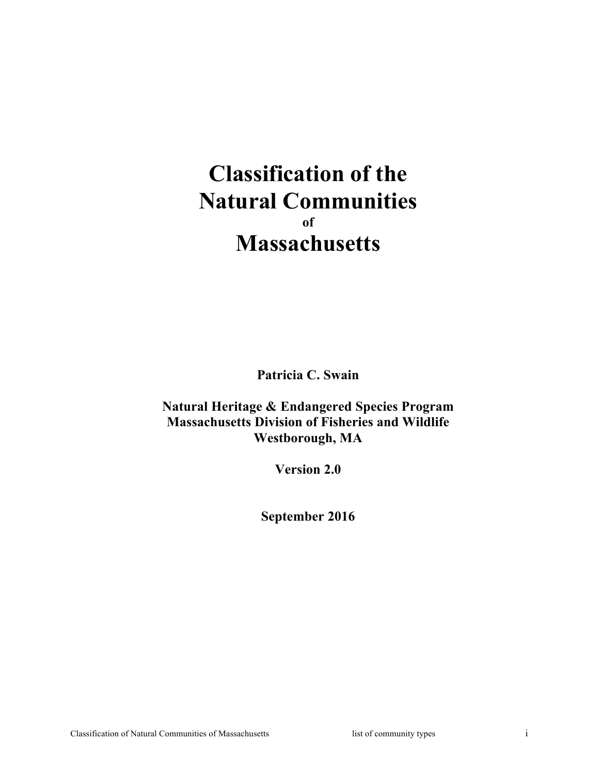# **Classification of the Natural Communities of Massachusetts**

**Patricia C. Swain**

**Natural Heritage & Endangered Species Program Massachusetts Division of Fisheries and Wildlife Westborough, MA**

**Version 2.0**

**September 2016**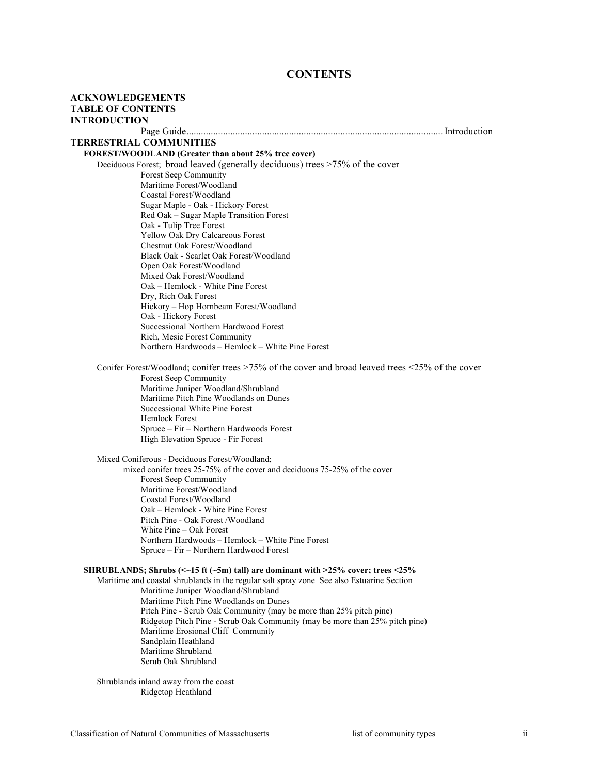# **CONTENTS**

| <b>ACKNOWLEDGEMENTS</b>        |                                                                                                   |  |
|--------------------------------|---------------------------------------------------------------------------------------------------|--|
| <b>TABLE OF CONTENTS</b>       |                                                                                                   |  |
| <b>INTRODUCTION</b>            |                                                                                                   |  |
|                                |                                                                                                   |  |
| <b>TERRESTRIAL COMMUNITIES</b> |                                                                                                   |  |
|                                | FOREST/WOODLAND (Greater than about 25% tree cover)                                               |  |
|                                | Deciduous Forest; broad leaved (generally deciduous) trees >75% of the cover                      |  |
|                                | Forest Seep Community                                                                             |  |
|                                | Maritime Forest/Woodland                                                                          |  |
|                                | Coastal Forest/Woodland                                                                           |  |
|                                | Sugar Maple - Oak - Hickory Forest                                                                |  |
|                                | Red Oak - Sugar Maple Transition Forest                                                           |  |
|                                | Oak - Tulip Tree Forest                                                                           |  |
|                                | Yellow Oak Dry Calcareous Forest                                                                  |  |
|                                | Chestnut Oak Forest/Woodland                                                                      |  |
|                                | Black Oak - Scarlet Oak Forest/Woodland<br>Open Oak Forest/Woodland                               |  |
|                                | Mixed Oak Forest/Woodland                                                                         |  |
|                                | Oak – Hemlock - White Pine Forest                                                                 |  |
|                                | Dry, Rich Oak Forest                                                                              |  |
|                                | Hickory - Hop Hornbeam Forest/Woodland                                                            |  |
|                                | Oak - Hickory Forest                                                                              |  |
|                                | Successional Northern Hardwood Forest                                                             |  |
|                                | Rich, Mesic Forest Community                                                                      |  |
|                                | Northern Hardwoods - Hemlock - White Pine Forest                                                  |  |
|                                | Conifer Forest/Woodland; conifer trees >75% of the cover and broad leaved trees <25% of the cover |  |
|                                | Forest Seep Community                                                                             |  |
|                                | Maritime Juniper Woodland/Shrubland                                                               |  |
|                                | Maritime Pitch Pine Woodlands on Dunes                                                            |  |
|                                | Successional White Pine Forest                                                                    |  |
|                                | <b>Hemlock Forest</b>                                                                             |  |
|                                | Spruce - Fir - Northern Hardwoods Forest                                                          |  |
|                                | High Elevation Spruce - Fir Forest                                                                |  |
|                                | Mixed Coniferous - Deciduous Forest/Woodland;                                                     |  |
|                                | mixed conifer trees 25-75% of the cover and deciduous 75-25% of the cover                         |  |
|                                | Forest Seep Community                                                                             |  |
|                                | Maritime Forest/Woodland                                                                          |  |
|                                | Coastal Forest/Woodland                                                                           |  |
|                                | Oak – Hemlock - White Pine Forest<br>Pitch Pine - Oak Forest / Woodland                           |  |
|                                | White Pine – Oak Forest                                                                           |  |
|                                | Northern Hardwoods - Hemlock - White Pine Forest                                                  |  |
|                                | Spruce – Fir – Northern Hardwood Forest                                                           |  |
|                                | SHRUBLANDS; Shrubs ( $\le$ -15 ft ( $\le$ 5m) tall) are dominant with >25% cover; trees <25%      |  |
|                                | Maritime and coastal shrublands in the regular salt spray zone See also Estuarine Section         |  |
|                                | Maritime Juniper Woodland/Shrubland                                                               |  |
|                                | Maritime Pitch Pine Woodlands on Dunes                                                            |  |
|                                | Pitch Pine - Scrub Oak Community (may be more than 25% pitch pine)                                |  |
|                                | Ridgetop Pitch Pine - Scrub Oak Community (may be more than 25% pitch pine)                       |  |
|                                | Maritime Erosional Cliff Community                                                                |  |
|                                | Sandplain Heathland                                                                               |  |
|                                | Maritime Shrubland                                                                                |  |
|                                | Scrub Oak Shrubland                                                                               |  |
|                                | Shrublands inland away from the coast                                                             |  |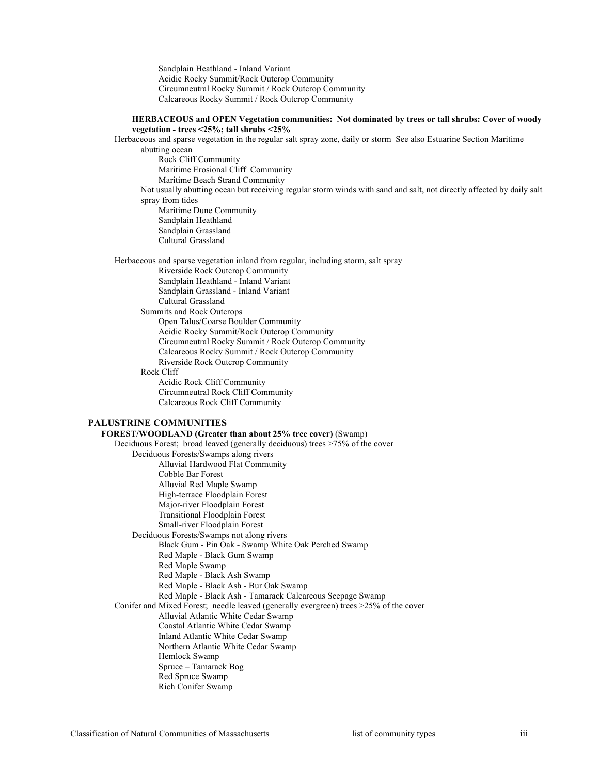Sandplain Heathland - Inland Variant Acidic Rocky Summit/Rock Outcrop Community Circumneutral Rocky Summit / Rock Outcrop Community Calcareous Rocky Summit / Rock Outcrop Community

#### **HERBACEOUS and OPEN Vegetation communities: Not dominated by trees or tall shrubs: Cover of woody vegetation - trees <25%; tall shrubs <25%**

Herbaceous and sparse vegetation in the regular salt spray zone, daily or storm See also Estuarine Section Maritime abutting ocean

Rock Cliff Community Maritime Erosional Cliff Community Maritime Beach Strand Community Not usually abutting ocean but receiving regular storm winds with sand and salt, not directly affected by daily salt spray from tides Maritime Dune Community Sandplain Heathland Sandplain Grassland Cultural Grassland

Herbaceous and sparse vegetation inland from regular, including storm, salt spray Riverside Rock Outcrop Community Sandplain Heathland - Inland Variant Sandplain Grassland - Inland Variant Cultural Grassland Summits and Rock Outcrops Open Talus/Coarse Boulder Community Acidic Rocky Summit/Rock Outcrop Community Circumneutral Rocky Summit / Rock Outcrop Community Calcareous Rocky Summit / Rock Outcrop Community Riverside Rock Outcrop Community Rock Cliff Acidic Rock Cliff Community Circumneutral Rock Cliff Community Calcareous Rock Cliff Community

### **PALUSTRINE COMMUNITIES**

### **FOREST/WOODLAND (Greater than about 25% tree cover)** (Swamp)

Deciduous Forest; broad leaved (generally deciduous) trees >75% of the cover Deciduous Forests/Swamps along rivers Alluvial Hardwood Flat Community Cobble Bar Forest Alluvial Red Maple Swamp High-terrace Floodplain Forest Major-river Floodplain Forest Transitional Floodplain Forest Small-river Floodplain Forest Deciduous Forests/Swamps not along rivers Black Gum - Pin Oak - Swamp White Oak Perched Swamp Red Maple - Black Gum Swamp Red Maple Swamp Red Maple - Black Ash Swamp Red Maple - Black Ash - Bur Oak Swamp Red Maple - Black Ash - Tamarack Calcareous Seepage Swamp Conifer and Mixed Forest; needle leaved (generally evergreen) trees >25% of the cover Alluvial Atlantic White Cedar Swamp Coastal Atlantic White Cedar Swamp Inland Atlantic White Cedar Swamp Northern Atlantic White Cedar Swamp Hemlock Swamp Spruce – Tamarack Bog Red Spruce Swamp Rich Conifer Swamp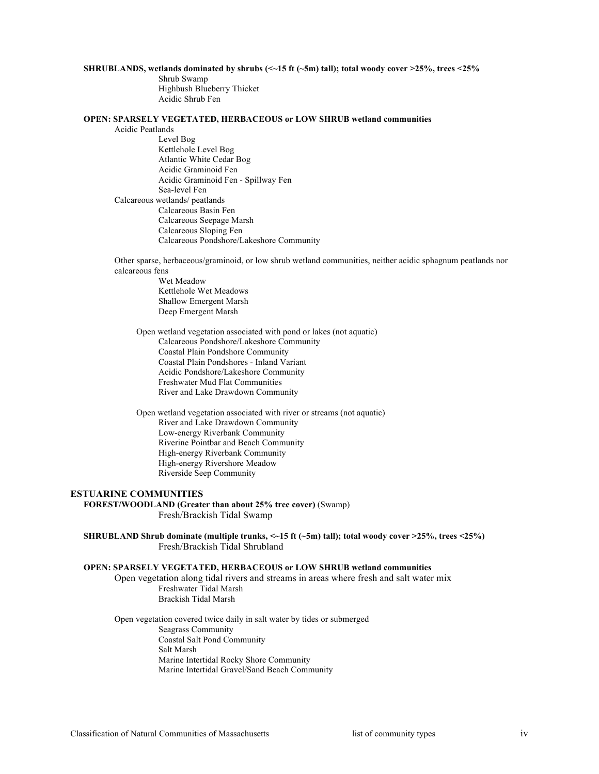#### **SHRUBLANDS, wetlands dominated by shrubs (<~15 ft (~5m) tall); total woody cover >25%, trees <25%**

Shrub Swamp Highbush Blueberry Thicket Acidic Shrub Fen

### **OPEN: SPARSELY VEGETATED, HERBACEOUS or LOW SHRUB wetland communities**

Acidic Peatlands

Level Bog Kettlehole Level Bog Atlantic White Cedar Bog Acidic Graminoid Fen Acidic Graminoid Fen - Spillway Fen Sea-level Fen Calcareous wetlands/ peatlands Calcareous Basin Fen Calcareous Seepage Marsh Calcareous Sloping Fen Calcareous Pondshore/Lakeshore Community

Other sparse, herbaceous/graminoid, or low shrub wetland communities, neither acidic sphagnum peatlands nor calcareous fens

> Wet Meadow Kettlehole Wet Meadows Shallow Emergent Marsh Deep Emergent Marsh

Open wetland vegetation associated with pond or lakes (not aquatic) Calcareous Pondshore/Lakeshore Community Coastal Plain Pondshore Community Coastal Plain Pondshores - Inland Variant Acidic Pondshore/Lakeshore Community Freshwater Mud Flat Communities River and Lake Drawdown Community

Open wetland vegetation associated with river or streams (not aquatic) River and Lake Drawdown Community Low-energy Riverbank Community Riverine Pointbar and Beach Community High-energy Riverbank Community High-energy Rivershore Meadow Riverside Seep Community

### **ESTUARINE COMMUNITIES**

**FOREST/WOODLAND (Greater than about 25% tree cover)** (Swamp) Fresh/Brackish Tidal Swamp

**SHRUBLAND Shrub dominate (multiple trunks, <~15 ft (~5m) tall); total woody cover >25%, trees <25%)**  Fresh/Brackish Tidal Shrubland

#### **OPEN: SPARSELY VEGETATED, HERBACEOUS or LOW SHRUB wetland communities**

Open vegetation along tidal rivers and streams in areas where fresh and salt water mix Freshwater Tidal Marsh Brackish Tidal Marsh

Open vegetation covered twice daily in salt water by tides or submerged Seagrass Community Coastal Salt Pond Community Salt Marsh Marine Intertidal Rocky Shore Community Marine Intertidal Gravel/Sand Beach Community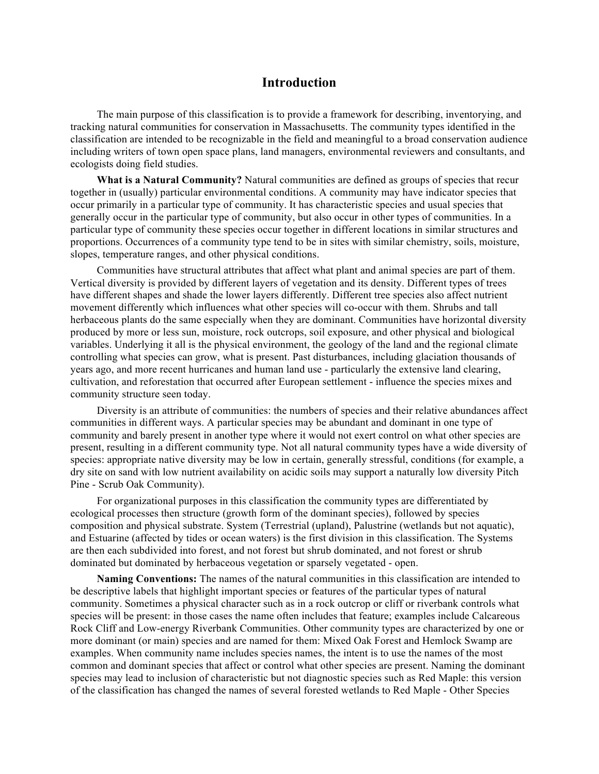# **Introduction**

The main purpose of this classification is to provide a framework for describing, inventorying, and tracking natural communities for conservation in Massachusetts. The community types identified in the classification are intended to be recognizable in the field and meaningful to a broad conservation audience including writers of town open space plans, land managers, environmental reviewers and consultants, and ecologists doing field studies.

**What is a Natural Community?** Natural communities are defined as groups of species that recur together in (usually) particular environmental conditions. A community may have indicator species that occur primarily in a particular type of community. It has characteristic species and usual species that generally occur in the particular type of community, but also occur in other types of communities. In a particular type of community these species occur together in different locations in similar structures and proportions. Occurrences of a community type tend to be in sites with similar chemistry, soils, moisture, slopes, temperature ranges, and other physical conditions.

Communities have structural attributes that affect what plant and animal species are part of them. Vertical diversity is provided by different layers of vegetation and its density. Different types of trees have different shapes and shade the lower layers differently. Different tree species also affect nutrient movement differently which influences what other species will co-occur with them. Shrubs and tall herbaceous plants do the same especially when they are dominant. Communities have horizontal diversity produced by more or less sun, moisture, rock outcrops, soil exposure, and other physical and biological variables. Underlying it all is the physical environment, the geology of the land and the regional climate controlling what species can grow, what is present. Past disturbances, including glaciation thousands of years ago, and more recent hurricanes and human land use - particularly the extensive land clearing, cultivation, and reforestation that occurred after European settlement - influence the species mixes and community structure seen today.

Diversity is an attribute of communities: the numbers of species and their relative abundances affect communities in different ways. A particular species may be abundant and dominant in one type of community and barely present in another type where it would not exert control on what other species are present, resulting in a different community type. Not all natural community types have a wide diversity of species: appropriate native diversity may be low in certain, generally stressful, conditions (for example, a dry site on sand with low nutrient availability on acidic soils may support a naturally low diversity Pitch Pine - Scrub Oak Community).

For organizational purposes in this classification the community types are differentiated by ecological processes then structure (growth form of the dominant species), followed by species composition and physical substrate. System (Terrestrial (upland), Palustrine (wetlands but not aquatic), and Estuarine (affected by tides or ocean waters) is the first division in this classification. The Systems are then each subdivided into forest, and not forest but shrub dominated, and not forest or shrub dominated but dominated by herbaceous vegetation or sparsely vegetated - open.

**Naming Conventions:** The names of the natural communities in this classification are intended to be descriptive labels that highlight important species or features of the particular types of natural community. Sometimes a physical character such as in a rock outcrop or cliff or riverbank controls what species will be present: in those cases the name often includes that feature; examples include Calcareous Rock Cliff and Low-energy Riverbank Communities. Other community types are characterized by one or more dominant (or main) species and are named for them: Mixed Oak Forest and Hemlock Swamp are examples. When community name includes species names, the intent is to use the names of the most common and dominant species that affect or control what other species are present. Naming the dominant species may lead to inclusion of characteristic but not diagnostic species such as Red Maple: this version of the classification has changed the names of several forested wetlands to Red Maple - Other Species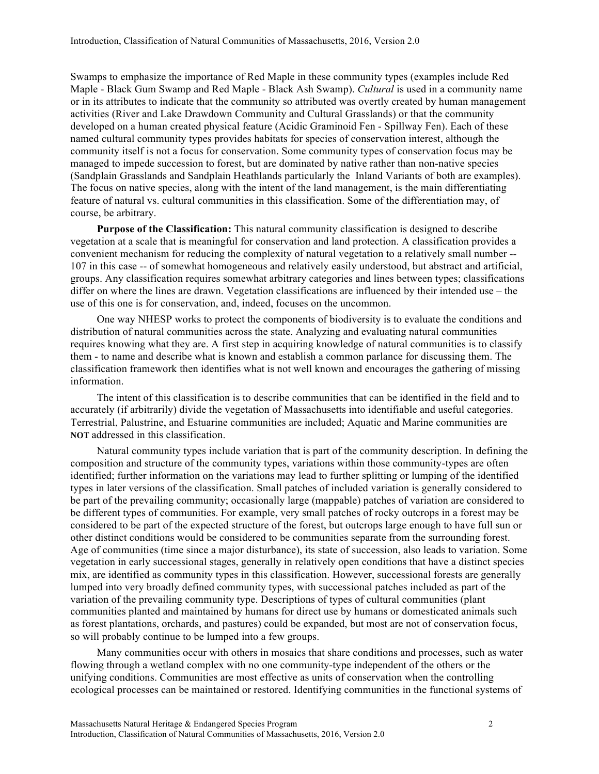Swamps to emphasize the importance of Red Maple in these community types (examples include Red Maple - Black Gum Swamp and Red Maple - Black Ash Swamp). *Cultural* is used in a community name or in its attributes to indicate that the community so attributed was overtly created by human management activities (River and Lake Drawdown Community and Cultural Grasslands) or that the community developed on a human created physical feature (Acidic Graminoid Fen - Spillway Fen). Each of these named cultural community types provides habitats for species of conservation interest, although the community itself is not a focus for conservation. Some community types of conservation focus may be managed to impede succession to forest, but are dominated by native rather than non-native species (Sandplain Grasslands and Sandplain Heathlands particularly the Inland Variants of both are examples). The focus on native species, along with the intent of the land management, is the main differentiating feature of natural vs. cultural communities in this classification. Some of the differentiation may, of course, be arbitrary.

**Purpose of the Classification:** This natural community classification is designed to describe vegetation at a scale that is meaningful for conservation and land protection. A classification provides a convenient mechanism for reducing the complexity of natural vegetation to a relatively small number -- 107 in this case -- of somewhat homogeneous and relatively easily understood, but abstract and artificial, groups. Any classification requires somewhat arbitrary categories and lines between types; classifications differ on where the lines are drawn. Vegetation classifications are influenced by their intended use – the use of this one is for conservation, and, indeed, focuses on the uncommon.

One way NHESP works to protect the components of biodiversity is to evaluate the conditions and distribution of natural communities across the state. Analyzing and evaluating natural communities requires knowing what they are. A first step in acquiring knowledge of natural communities is to classify them - to name and describe what is known and establish a common parlance for discussing them. The classification framework then identifies what is not well known and encourages the gathering of missing information.

The intent of this classification is to describe communities that can be identified in the field and to accurately (if arbitrarily) divide the vegetation of Massachusetts into identifiable and useful categories. Terrestrial, Palustrine, and Estuarine communities are included; Aquatic and Marine communities are **NOT** addressed in this classification.

Natural community types include variation that is part of the community description. In defining the composition and structure of the community types, variations within those community-types are often identified; further information on the variations may lead to further splitting or lumping of the identified types in later versions of the classification. Small patches of included variation is generally considered to be part of the prevailing community; occasionally large (mappable) patches of variation are considered to be different types of communities. For example, very small patches of rocky outcrops in a forest may be considered to be part of the expected structure of the forest, but outcrops large enough to have full sun or other distinct conditions would be considered to be communities separate from the surrounding forest. Age of communities (time since a major disturbance), its state of succession, also leads to variation. Some vegetation in early successional stages, generally in relatively open conditions that have a distinct species mix, are identified as community types in this classification. However, successional forests are generally lumped into very broadly defined community types, with successional patches included as part of the variation of the prevailing community type. Descriptions of types of cultural communities (plant communities planted and maintained by humans for direct use by humans or domesticated animals such as forest plantations, orchards, and pastures) could be expanded, but most are not of conservation focus, so will probably continue to be lumped into a few groups.

Many communities occur with others in mosaics that share conditions and processes, such as water flowing through a wetland complex with no one community-type independent of the others or the unifying conditions. Communities are most effective as units of conservation when the controlling ecological processes can be maintained or restored. Identifying communities in the functional systems of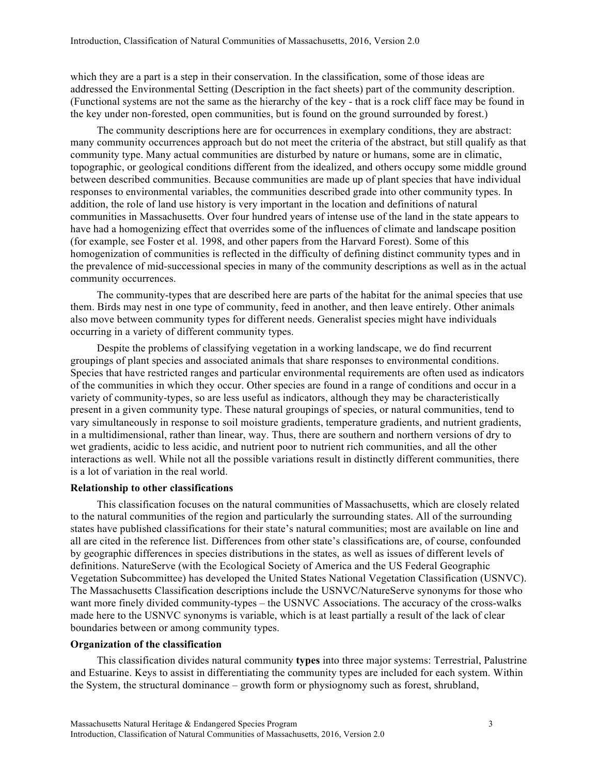which they are a part is a step in their conservation. In the classification, some of those ideas are addressed the Environmental Setting (Description in the fact sheets) part of the community description. (Functional systems are not the same as the hierarchy of the key - that is a rock cliff face may be found in the key under non-forested, open communities, but is found on the ground surrounded by forest.)

The community descriptions here are for occurrences in exemplary conditions, they are abstract: many community occurrences approach but do not meet the criteria of the abstract, but still qualify as that community type. Many actual communities are disturbed by nature or humans, some are in climatic, topographic, or geological conditions different from the idealized, and others occupy some middle ground between described communities. Because communities are made up of plant species that have individual responses to environmental variables, the communities described grade into other community types. In addition, the role of land use history is very important in the location and definitions of natural communities in Massachusetts. Over four hundred years of intense use of the land in the state appears to have had a homogenizing effect that overrides some of the influences of climate and landscape position (for example, see Foster et al. 1998, and other papers from the Harvard Forest). Some of this homogenization of communities is reflected in the difficulty of defining distinct community types and in the prevalence of mid-successional species in many of the community descriptions as well as in the actual community occurrences.

The community-types that are described here are parts of the habitat for the animal species that use them. Birds may nest in one type of community, feed in another, and then leave entirely. Other animals also move between community types for different needs. Generalist species might have individuals occurring in a variety of different community types.

Despite the problems of classifying vegetation in a working landscape, we do find recurrent groupings of plant species and associated animals that share responses to environmental conditions. Species that have restricted ranges and particular environmental requirements are often used as indicators of the communities in which they occur. Other species are found in a range of conditions and occur in a variety of community-types, so are less useful as indicators, although they may be characteristically present in a given community type. These natural groupings of species, or natural communities, tend to vary simultaneously in response to soil moisture gradients, temperature gradients, and nutrient gradients, in a multidimensional, rather than linear, way. Thus, there are southern and northern versions of dry to wet gradients, acidic to less acidic, and nutrient poor to nutrient rich communities, and all the other interactions as well. While not all the possible variations result in distinctly different communities, there is a lot of variation in the real world.

### **Relationship to other classifications**

This classification focuses on the natural communities of Massachusetts, which are closely related to the natural communities of the region and particularly the surrounding states. All of the surrounding states have published classifications for their state's natural communities; most are available on line and all are cited in the reference list. Differences from other state's classifications are, of course, confounded by geographic differences in species distributions in the states, as well as issues of different levels of definitions. NatureServe (with the Ecological Society of America and the US Federal Geographic Vegetation Subcommittee) has developed the United States National Vegetation Classification (USNVC). The Massachusetts Classification descriptions include the USNVC/NatureServe synonyms for those who want more finely divided community-types – the USNVC Associations. The accuracy of the cross-walks made here to the USNVC synonyms is variable, which is at least partially a result of the lack of clear boundaries between or among community types.

# **Organization of the classification**

This classification divides natural community **types** into three major systems: Terrestrial, Palustrine and Estuarine. Keys to assist in differentiating the community types are included for each system. Within the System, the structural dominance – growth form or physiognomy such as forest, shrubland,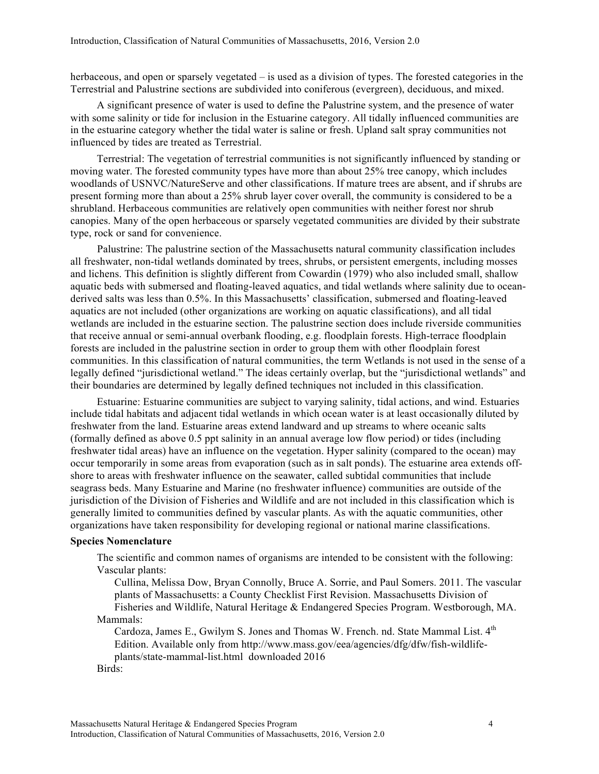herbaceous, and open or sparsely vegetated – is used as a division of types. The forested categories in the Terrestrial and Palustrine sections are subdivided into coniferous (evergreen), deciduous, and mixed.

A significant presence of water is used to define the Palustrine system, and the presence of water with some salinity or tide for inclusion in the Estuarine category. All tidally influenced communities are in the estuarine category whether the tidal water is saline or fresh. Upland salt spray communities not influenced by tides are treated as Terrestrial.

Terrestrial: The vegetation of terrestrial communities is not significantly influenced by standing or moving water. The forested community types have more than about 25% tree canopy, which includes woodlands of USNVC/NatureServe and other classifications. If mature trees are absent, and if shrubs are present forming more than about a 25% shrub layer cover overall, the community is considered to be a shrubland. Herbaceous communities are relatively open communities with neither forest nor shrub canopies. Many of the open herbaceous or sparsely vegetated communities are divided by their substrate type, rock or sand for convenience.

Palustrine: The palustrine section of the Massachusetts natural community classification includes all freshwater, non-tidal wetlands dominated by trees, shrubs, or persistent emergents, including mosses and lichens. This definition is slightly different from Cowardin (1979) who also included small, shallow aquatic beds with submersed and floating-leaved aquatics, and tidal wetlands where salinity due to oceanderived salts was less than 0.5%. In this Massachusetts' classification, submersed and floating-leaved aquatics are not included (other organizations are working on aquatic classifications), and all tidal wetlands are included in the estuarine section. The palustrine section does include riverside communities that receive annual or semi-annual overbank flooding, e.g. floodplain forests. High-terrace floodplain forests are included in the palustrine section in order to group them with other floodplain forest communities. In this classification of natural communities, the term Wetlands is not used in the sense of a legally defined "jurisdictional wetland." The ideas certainly overlap, but the "jurisdictional wetlands" and their boundaries are determined by legally defined techniques not included in this classification.

Estuarine: Estuarine communities are subject to varying salinity, tidal actions, and wind. Estuaries include tidal habitats and adjacent tidal wetlands in which ocean water is at least occasionally diluted by freshwater from the land. Estuarine areas extend landward and up streams to where oceanic salts (formally defined as above 0.5 ppt salinity in an annual average low flow period) or tides (including freshwater tidal areas) have an influence on the vegetation. Hyper salinity (compared to the ocean) may occur temporarily in some areas from evaporation (such as in salt ponds). The estuarine area extends offshore to areas with freshwater influence on the seawater, called subtidal communities that include seagrass beds. Many Estuarine and Marine (no freshwater influence) communities are outside of the jurisdiction of the Division of Fisheries and Wildlife and are not included in this classification which is generally limited to communities defined by vascular plants. As with the aquatic communities, other organizations have taken responsibility for developing regional or national marine classifications.

### **Species Nomenclature**

The scientific and common names of organisms are intended to be consistent with the following: Vascular plants:

Cullina, Melissa Dow, Bryan Connolly, Bruce A. Sorrie, and Paul Somers. 2011. The vascular plants of Massachusetts: a County Checklist First Revision. Massachusetts Division of Fisheries and Wildlife, Natural Heritage & Endangered Species Program. Westborough, MA. Mammals:

Cardoza, James E., Gwilym S. Jones and Thomas W. French. nd. State Mammal List. 4<sup>th</sup> Edition. Available only from http://www.mass.gov/eea/agencies/dfg/dfw/fish-wildlifeplants/state-mammal-list.html downloaded 2016

Birds: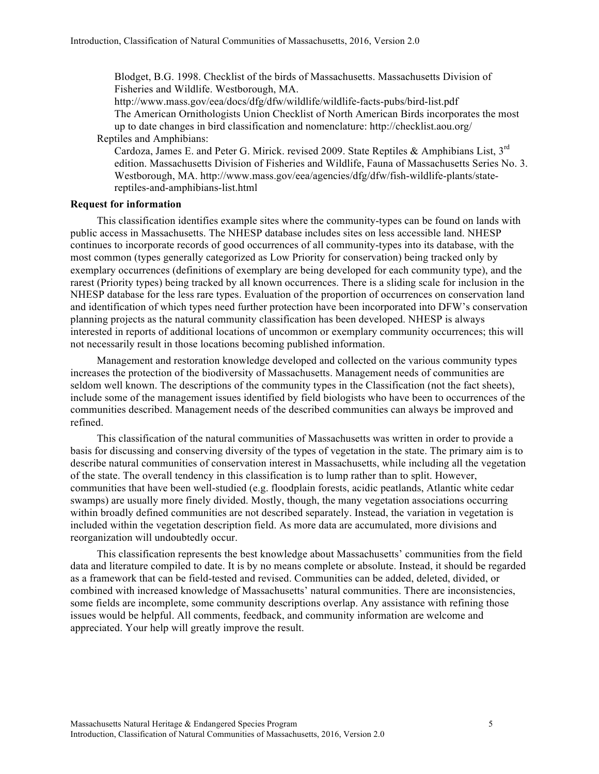Blodget, B.G. 1998. Checklist of the birds of Massachusetts. Massachusetts Division of Fisheries and Wildlife. Westborough, MA.

http://www.mass.gov/eea/docs/dfg/dfw/wildlife/wildlife-facts-pubs/bird-list.pdf The American Ornithologists Union Checklist of North American Birds incorporates the most up to date changes in bird classification and nomenclature: http://checklist.aou.org/ Reptiles and Amphibians:

Cardoza, James E. and Peter G. Mirick. revised 2009. State Reptiles & Amphibians List, 3rd edition. Massachusetts Division of Fisheries and Wildlife, Fauna of Massachusetts Series No. 3. Westborough, MA. http://www.mass.gov/eea/agencies/dfg/dfw/fish-wildlife-plants/statereptiles-and-amphibians-list.html

# **Request for information**

This classification identifies example sites where the community-types can be found on lands with public access in Massachusetts. The NHESP database includes sites on less accessible land. NHESP continues to incorporate records of good occurrences of all community-types into its database, with the most common (types generally categorized as Low Priority for conservation) being tracked only by exemplary occurrences (definitions of exemplary are being developed for each community type), and the rarest (Priority types) being tracked by all known occurrences. There is a sliding scale for inclusion in the NHESP database for the less rare types. Evaluation of the proportion of occurrences on conservation land and identification of which types need further protection have been incorporated into DFW's conservation planning projects as the natural community classification has been developed. NHESP is always interested in reports of additional locations of uncommon or exemplary community occurrences; this will not necessarily result in those locations becoming published information.

Management and restoration knowledge developed and collected on the various community types increases the protection of the biodiversity of Massachusetts. Management needs of communities are seldom well known. The descriptions of the community types in the Classification (not the fact sheets), include some of the management issues identified by field biologists who have been to occurrences of the communities described. Management needs of the described communities can always be improved and refined.

This classification of the natural communities of Massachusetts was written in order to provide a basis for discussing and conserving diversity of the types of vegetation in the state. The primary aim is to describe natural communities of conservation interest in Massachusetts, while including all the vegetation of the state. The overall tendency in this classification is to lump rather than to split. However, communities that have been well-studied (e.g. floodplain forests, acidic peatlands, Atlantic white cedar swamps) are usually more finely divided. Mostly, though, the many vegetation associations occurring within broadly defined communities are not described separately. Instead, the variation in vegetation is included within the vegetation description field. As more data are accumulated, more divisions and reorganization will undoubtedly occur.

This classification represents the best knowledge about Massachusetts' communities from the field data and literature compiled to date. It is by no means complete or absolute. Instead, it should be regarded as a framework that can be field-tested and revised. Communities can be added, deleted, divided, or combined with increased knowledge of Massachusetts' natural communities. There are inconsistencies, some fields are incomplete, some community descriptions overlap. Any assistance with refining those issues would be helpful. All comments, feedback, and community information are welcome and appreciated. Your help will greatly improve the result.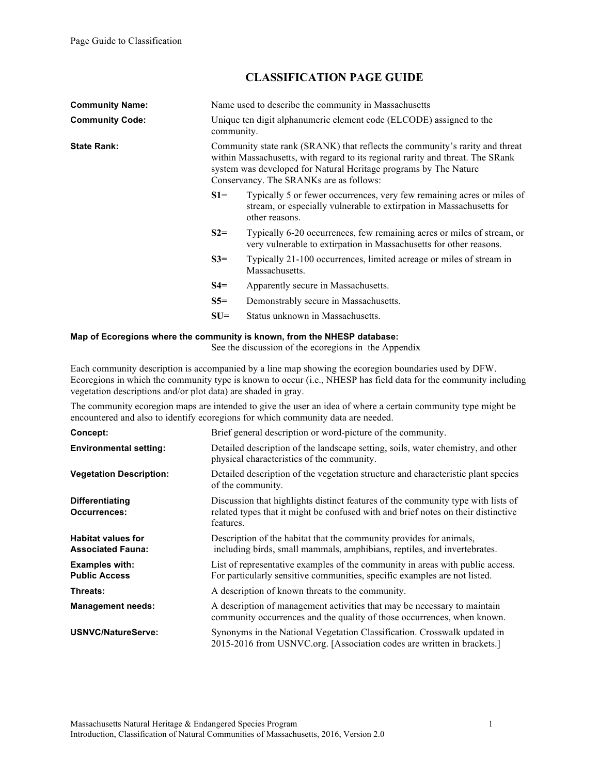# **CLASSIFICATION PAGE GUIDE**

| <b>Community Name:</b> | Name used to describe the community in Massachusetts                                                                                                                                                                                                                          |                                                                                                                                                                  |  |
|------------------------|-------------------------------------------------------------------------------------------------------------------------------------------------------------------------------------------------------------------------------------------------------------------------------|------------------------------------------------------------------------------------------------------------------------------------------------------------------|--|
| <b>Community Code:</b> | Unique ten digit alphanumeric element code (ELCODE) assigned to the<br>community.                                                                                                                                                                                             |                                                                                                                                                                  |  |
| <b>State Rank:</b>     | Community state rank (SRANK) that reflects the community's rarity and threat<br>within Massachusetts, with regard to its regional rarity and threat. The SRank<br>system was developed for Natural Heritage programs by The Nature<br>Conservancy. The SRANKs are as follows: |                                                                                                                                                                  |  |
|                        | $S1=$                                                                                                                                                                                                                                                                         | Typically 5 or fewer occurrences, very few remaining acres or miles of<br>stream, or especially vulnerable to extirpation in Massachusetts for<br>other reasons. |  |
|                        | $S2=$                                                                                                                                                                                                                                                                         | Typically 6-20 occurrences, few remaining acres or miles of stream, or<br>very vulnerable to extirpation in Massachusetts for other reasons.                     |  |
|                        | $S3=$                                                                                                                                                                                                                                                                         | Typically 21-100 occurrences, limited acreage or miles of stream in<br>Massachusetts.                                                                            |  |
|                        | $S4=$                                                                                                                                                                                                                                                                         | Apparently secure in Massachusetts.                                                                                                                              |  |
|                        | $S5=$                                                                                                                                                                                                                                                                         | Demonstrably secure in Massachusetts.                                                                                                                            |  |
|                        | $SU=$                                                                                                                                                                                                                                                                         | Status unknown in Massachusetts.                                                                                                                                 |  |

# **Map of Ecoregions where the community is known, from the NHESP database:**

See the discussion of the ecoregions in the Appendix

Each community description is accompanied by a line map showing the ecoregion boundaries used by DFW. Ecoregions in which the community type is known to occur (i.e., NHESP has field data for the community including vegetation descriptions and/or plot data) are shaded in gray.

The community ecoregion maps are intended to give the user an idea of where a certain community type might be encountered and also to identify ecoregions for which community data are needed.

| Concept:                                              | Brief general description or word-picture of the community.                                                                                                                        |  |
|-------------------------------------------------------|------------------------------------------------------------------------------------------------------------------------------------------------------------------------------------|--|
| <b>Environmental setting:</b>                         | Detailed description of the landscape setting, soils, water chemistry, and other<br>physical characteristics of the community.                                                     |  |
| <b>Vegetation Description:</b>                        | Detailed description of the vegetation structure and characteristic plant species<br>of the community.                                                                             |  |
| <b>Differentiating</b><br><b>Occurrences:</b>         | Discussion that highlights distinct features of the community type with lists of<br>related types that it might be confused with and brief notes on their distinctive<br>features. |  |
| <b>Habitat values for</b><br><b>Associated Fauna:</b> | Description of the habitat that the community provides for animals,<br>including birds, small mammals, amphibians, reptiles, and invertebrates.                                    |  |
| <b>Examples with:</b><br><b>Public Access</b>         | List of representative examples of the community in areas with public access.<br>For particularly sensitive communities, specific examples are not listed.                         |  |
| Threats:                                              | A description of known threats to the community.                                                                                                                                   |  |
| <b>Management needs:</b>                              | A description of management activities that may be necessary to maintain<br>community occurrences and the quality of those occurrences, when known.                                |  |
| <b>USNVC/NatureServe:</b>                             | Synonyms in the National Vegetation Classification. Crosswalk updated in<br>2015-2016 from USNVC.org. [Association codes are written in brackets.]                                 |  |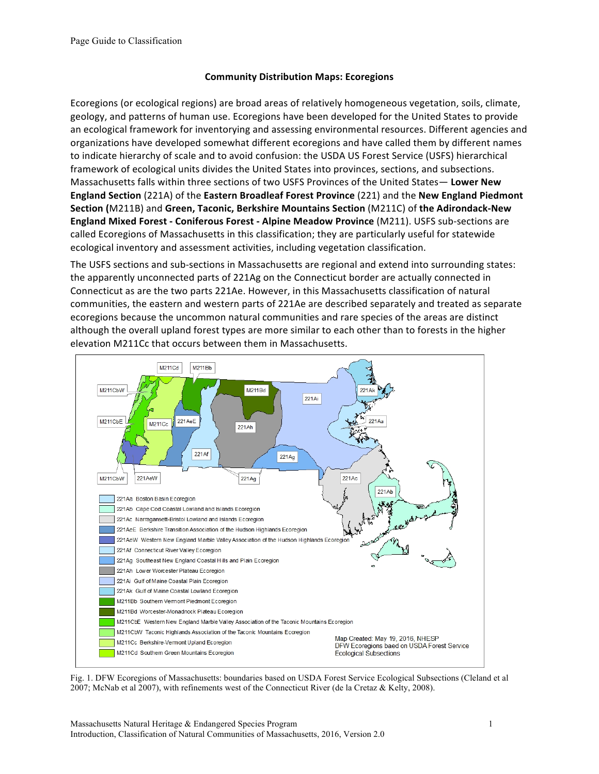# **Community Distribution Maps: Ecoregions**

Ecoregions (or ecological regions) are broad areas of relatively homogeneous vegetation, soils, climate, geology, and patterns of human use. Ecoregions have been developed for the United States to provide an ecological framework for inventorying and assessing environmental resources. Different agencies and organizations have developed somewhat different ecoregions and have called them by different names to indicate hierarchy of scale and to avoid confusion: the USDA US Forest Service (USFS) hierarchical framework of ecological units divides the United States into provinces, sections, and subsections. Massachusetts falls within three sections of two USFS Provinces of the United States- Lower New **England Section** (221A) of the **Eastern Broadleaf Forest Province** (221) and the **New England Piedmont Section (M211B) and Green, Taconic, Berkshire Mountains Section (M211C) of the Adirondack-New England Mixed Forest - Coniferous Forest - Alpine Meadow Province (M211). USFS sub-sections are** called Ecoregions of Massachusetts in this classification; they are particularly useful for statewide ecological inventory and assessment activities, including vegetation classification.

The USFS sections and sub-sections in Massachusetts are regional and extend into surrounding states: the apparently unconnected parts of 221Ag on the Connecticut border are actually connected in Connecticut as are the two parts 221Ae. However, in this Massachusetts classification of natural communities, the eastern and western parts of 221Ae are described separately and treated as separate ecoregions because the uncommon natural communities and rare species of the areas are distinct although the overall upland forest types are more similar to each other than to forests in the higher elevation M211Cc that occurs between them in Massachusetts.



Fig. 1. DFW Ecoregions of Massachusetts: boundaries based on USDA Forest Service Ecological Subsections (Cleland et al 2007; McNab et al 2007), with refinements west of the Connecticut River (de la Cretaz & Kelty, 2008).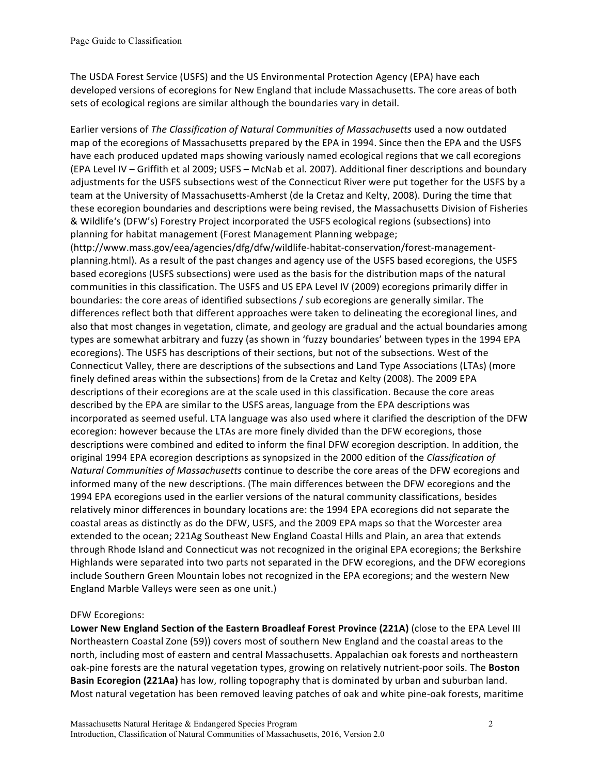The USDA Forest Service (USFS) and the US Environmental Protection Agency (EPA) have each developed versions of ecoregions for New England that include Massachusetts. The core areas of both sets of ecological regions are similar although the boundaries vary in detail.

Earlier versions of *The Classification of Natural Communities of Massachusetts* used a now outdated map of the ecoregions of Massachusetts prepared by the EPA in 1994. Since then the EPA and the USFS have each produced updated maps showing variously named ecological regions that we call ecoregions (EPA Level IV – Griffith et al 2009; USFS – McNab et al. 2007). Additional finer descriptions and boundary adjustments for the USFS subsections west of the Connecticut River were put together for the USFS by a team at the University of Massachusetts-Amherst (de la Cretaz and Kelty, 2008). During the time that these ecoregion boundaries and descriptions were being revised, the Massachusetts Division of Fisheries & Wildlife's (DFW's) Forestry Project incorporated the USFS ecological regions (subsections) into planning for habitat management (Forest Management Planning webpage;

(http://www.mass.gov/eea/agencies/dfg/dfw/wildlife-habitat-conservation/forest-managementplanning.html). As a result of the past changes and agency use of the USFS based ecoregions, the USFS based ecoregions (USFS subsections) were used as the basis for the distribution maps of the natural communities in this classification. The USFS and US EPA Level IV (2009) ecoregions primarily differ in boundaries: the core areas of identified subsections / sub ecoregions are generally similar. The differences reflect both that different approaches were taken to delineating the ecoregional lines, and also that most changes in vegetation, climate, and geology are gradual and the actual boundaries among types are somewhat arbitrary and fuzzy (as shown in 'fuzzy boundaries' between types in the 1994 EPA ecoregions). The USFS has descriptions of their sections, but not of the subsections. West of the Connecticut Valley, there are descriptions of the subsections and Land Type Associations (LTAs) (more finely defined areas within the subsections) from de la Cretaz and Kelty (2008). The 2009 EPA descriptions of their ecoregions are at the scale used in this classification. Because the core areas described by the EPA are similar to the USFS areas, language from the EPA descriptions was incorporated as seemed useful. LTA language was also used where it clarified the description of the DFW ecoregion: however because the LTAs are more finely divided than the DFW ecoregions, those descriptions were combined and edited to inform the final DFW ecoregion description. In addition, the original 1994 EPA ecoregion descriptions as synopsized in the 2000 edition of the *Classification of Natural Communities of Massachusetts* continue to describe the core areas of the DFW ecoregions and informed many of the new descriptions. (The main differences between the DFW ecoregions and the 1994 EPA ecoregions used in the earlier versions of the natural community classifications, besides relatively minor differences in boundary locations are: the 1994 EPA ecoregions did not separate the coastal areas as distinctly as do the DFW, USFS, and the 2009 EPA maps so that the Worcester area extended to the ocean; 221Ag Southeast New England Coastal Hills and Plain, an area that extends through Rhode Island and Connecticut was not recognized in the original EPA ecoregions; the Berkshire Highlands were separated into two parts not separated in the DFW ecoregions, and the DFW ecoregions include Southern Green Mountain lobes not recognized in the EPA ecoregions; and the western New England Marble Valleys were seen as one unit.)

# DFW Ecoregions:

Lower New England Section of the Eastern Broadleaf Forest Province (221A) (close to the EPA Level III Northeastern Coastal Zone (59)) covers most of southern New England and the coastal areas to the north, including most of eastern and central Massachusetts. Appalachian oak forests and northeastern oak-pine forests are the natural vegetation types, growing on relatively nutrient-poor soils. The **Boston Basin Ecoregion (221Aa)** has low, rolling topography that is dominated by urban and suburban land. Most natural vegetation has been removed leaving patches of oak and white pine-oak forests, maritime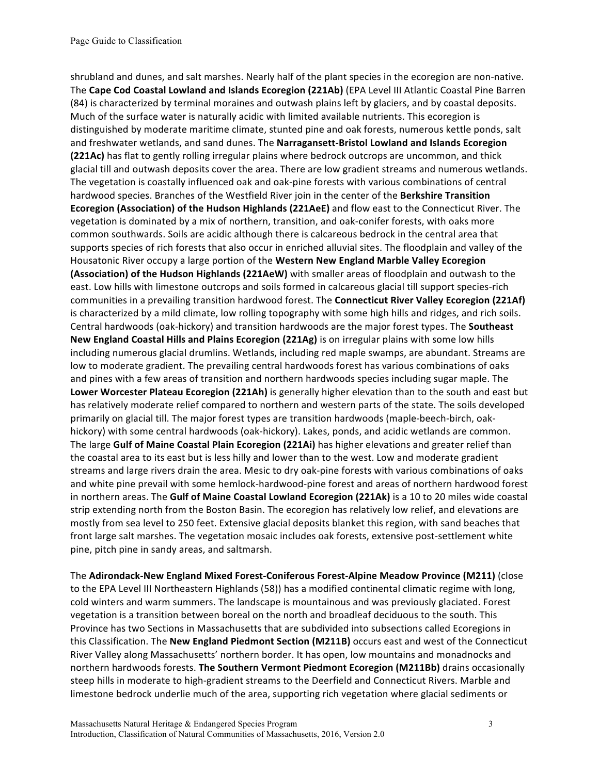shrubland and dunes, and salt marshes. Nearly half of the plant species in the ecoregion are non-native. The Cape Cod Coastal Lowland and Islands Ecoregion (221Ab) (EPA Level III Atlantic Coastal Pine Barren (84) is characterized by terminal moraines and outwash plains left by glaciers, and by coastal deposits. Much of the surface water is naturally acidic with limited available nutrients. This ecoregion is distinguished by moderate maritime climate, stunted pine and oak forests, numerous kettle ponds, salt and freshwater wetlands, and sand dunes. The **Narragansett-Bristol Lowland and Islands Ecoregion (221Ac)** has flat to gently rolling irregular plains where bedrock outcrops are uncommon, and thick glacial till and outwash deposits cover the area. There are low gradient streams and numerous wetlands. The vegetation is coastally influenced oak and oak-pine forests with various combinations of central hardwood species. Branches of the Westfield River join in the center of the Berkshire Transition **Ecoregion (Association) of the Hudson Highlands (221AeE)** and flow east to the Connecticut River. The vegetation is dominated by a mix of northern, transition, and oak-conifer forests, with oaks more common southwards. Soils are acidic although there is calcareous bedrock in the central area that supports species of rich forests that also occur in enriched alluvial sites. The floodplain and valley of the Housatonic River occupy a large portion of the **Western New England Marble Valley Ecoregion (Association) of the Hudson Highlands (221AeW)** with smaller areas of floodplain and outwash to the east. Low hills with limestone outcrops and soils formed in calcareous glacial till support species-rich communities in a prevailing transition hardwood forest. The **Connecticut River Valley Ecoregion (221Af)** is characterized by a mild climate, low rolling topography with some high hills and ridges, and rich soils. Central hardwoods (oak-hickory) and transition hardwoods are the major forest types. The **Southeast** New England Coastal Hills and Plains Ecoregion (221Ag) is on irregular plains with some low hills including numerous glacial drumlins. Wetlands, including red maple swamps, are abundant. Streams are low to moderate gradient. The prevailing central hardwoods forest has various combinations of oaks and pines with a few areas of transition and northern hardwoods species including sugar maple. The Lower Worcester Plateau Ecoregion (221Ah) is generally higher elevation than to the south and east but has relatively moderate relief compared to northern and western parts of the state. The soils developed primarily on glacial till. The major forest types are transition hardwoods (maple-beech-birch, oakhickory) with some central hardwoods (oak-hickory). Lakes, ponds, and acidic wetlands are common. The large Gulf of Maine Coastal Plain Ecoregion (221Ai) has higher elevations and greater relief than the coastal area to its east but is less hilly and lower than to the west. Low and moderate gradient streams and large rivers drain the area. Mesic to dry oak-pine forests with various combinations of oaks and white pine prevail with some hemlock-hardwood-pine forest and areas of northern hardwood forest in northern areas. The Gulf of Maine Coastal Lowland Ecoregion (221Ak) is a 10 to 20 miles wide coastal strip extending north from the Boston Basin. The ecoregion has relatively low relief, and elevations are mostly from sea level to 250 feet. Extensive glacial deposits blanket this region, with sand beaches that front large salt marshes. The vegetation mosaic includes oak forests, extensive post-settlement white pine, pitch pine in sandy areas, and saltmarsh.

The Adirondack-New England Mixed Forest-Coniferous Forest-Alpine Meadow Province (M211) (close to the EPA Level III Northeastern Highlands (58)) has a modified continental climatic regime with long, cold winters and warm summers. The landscape is mountainous and was previously glaciated. Forest vegetation is a transition between boreal on the north and broadleaf deciduous to the south. This Province has two Sections in Massachusetts that are subdivided into subsections called Ecoregions in this Classification. The **New England Piedmont Section (M211B)** occurs east and west of the Connecticut River Valley along Massachusetts' northern border. It has open, low mountains and monadnocks and northern hardwoods forests. **The Southern Vermont Piedmont Ecoregion (M211Bb)** drains occasionally steep hills in moderate to high-gradient streams to the Deerfield and Connecticut Rivers. Marble and limestone bedrock underlie much of the area, supporting rich vegetation where glacial sediments or